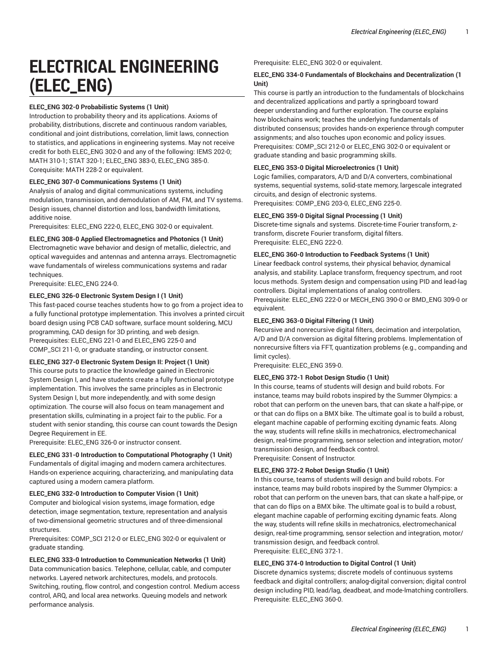# **ELECTRICAL ENGINEERING (ELEC\_ENG)**

## **ELEC\_ENG 302-0 Probabilistic Systems (1 Unit)**

Introduction to probability theory and its applications. Axioms of probability, distributions, discrete and continuous random variables, conditional and joint distributions, correlation, limit laws, connection to statistics, and applications in engineering systems. May not receive credit for both ELEC\_ENG 302-0 and any of the following: IEMS 202-0; MATH 310-1; STAT 320-1; ELEC\_ENG 383-0, ELEC\_ENG 385-0. Corequisite: MATH 228-2 or equivalent.

## **ELEC\_ENG 307-0 Communications Systems (1 Unit)**

Analysis of analog and digital communications systems, including modulation, transmission, and demodulation of AM, FM, and TV systems. Design issues, channel distortion and loss, bandwidth limitations, additive noise.

Prerequisites: ELEC\_ENG 222-0, ELEC\_ENG 302-0 or equivalent.

## **ELEC\_ENG 308-0 Applied Electromagnetics and Photonics (1 Unit)**

Electromagnetic wave behavior and design of metallic, dielectric, and optical waveguides and antennas and antenna arrays. Electromagnetic wave fundamentals of wireless communications systems and radar techniques.

Prerequisite: ELEC\_ENG 224-0.

## **ELEC\_ENG 326-0 Electronic System Design I (1 Unit)**

This fast-paced course teaches students how to go from a project idea to a fully functional prototype implementation. This involves a printed circuit board design using PCB CAD software, surface mount soldering, MCU programming, CAD design for 3D printing, and web design. Prerequisites: ELEC\_ENG 221-0 and ELEC\_ENG 225-0 and COMP\_SCI 211-0, or graduate standing, or instructor consent.

## **ELEC\_ENG 327-0 Electronic System Design II: Project (1 Unit)**

This course puts to practice the knowledge gained in Electronic System Design I, and have students create a fully functional prototype implementation. This involves the same principles as in Electronic System Design I, but more independently, and with some design optimization. The course will also focus on team management and presentation skills, culminating in a project fair to the public. For a student with senior standing, this course can count towards the Design Degree Requirement in EE.

Prerequisite: ELEC\_ENG 326-0 or instructor consent.

## **ELEC\_ENG 331-0 Introduction to Computational Photography (1 Unit)**

Fundamentals of digital imaging and modern camera architectures. Hands-on experience acquiring, characterizing, and manipulating data captured using a modern camera platform.

## **ELEC\_ENG 332-0 Introduction to Computer Vision (1 Unit)**

Computer and biological vision systems, image formation, edge detection, image segmentation, texture, representation and analysis of two-dimensional geometric structures and of three-dimensional structures.

Prerequisites: COMP\_SCI 212-0 or ELEC\_ENG 302-0 or equivalent or graduate standing.

## **ELEC\_ENG 333-0 Introduction to Communication Networks (1 Unit)**

Data communication basics. Telephone, cellular, cable, and computer networks. Layered network architectures, models, and protocols. Switching, routing, flow control, and congestion control. Medium access control, ARQ, and local area networks. Queuing models and network performance analysis.

Prerequisite: ELEC\_ENG 302-0 or equivalent.

## **ELEC\_ENG 334-0 Fundamentals of Blockchains and Decentralization (1 Unit)**

This course is partly an introduction to the fundamentals of blockchains and decentralized applications and partly a springboard toward deeper understanding and further exploration. The course explains how blockchains work; teaches the underlying fundamentals of distributed consensus; provides hands-on experience through computer assignments; and also touches upon economic and policy issues. Prerequisites: COMP\_SCI 212-0 or ELEC\_ENG 302-0 or equivalent or graduate standing and basic programming skills.

## **ELEC\_ENG 353-0 Digital Microelectronics (1 Unit)**

Logic families, comparators, A/D and D/A converters, combinational systems, sequential systems, solid-state memory, largescale integrated circuits, and design of electronic systems. Prerequisites: COMP\_ENG 203-0, ELEC\_ENG 225-0.

## **ELEC\_ENG 359-0 Digital Signal Processing (1 Unit)**

Discrete-time signals and systems. Discrete-time Fourier transform, ztransform, discrete Fourier transform, digital filters. Prerequisite: ELEC\_ENG 222-0.

## **ELEC\_ENG 360-0 Introduction to Feedback Systems (1 Unit)**

Linear feedback control systems, their physical behavior, dynamical analysis, and stability. Laplace transform, frequency spectrum, and root locus methods. System design and compensation using PID and lead-lag controllers. Digital implementations of analog controllers.

Prerequisite: ELEC\_ENG 222-0 or MECH\_ENG 390-0 or BMD\_ENG 309-0 or equivalent.

## **ELEC\_ENG 363-0 Digital Filtering (1 Unit)**

Recursive and nonrecursive digital filters, decimation and interpolation, A/D and D/A conversion as digital filtering problems. Implementation of nonrecursive filters via FFT, quantization problems (e.g., companding and limit cycles).

Prerequisite: ELEC\_ENG 359-0.

## **ELEC\_ENG 372-1 Robot Design Studio (1 Unit)**

In this course, teams of students will design and build robots. For instance, teams may build robots inspired by the Summer Olympics: a robot that can perform on the uneven bars, that can skate a half-pipe, or or that can do flips on a BMX bike. The ultimate goal is to build a robust, elegant machine capable of performing exciting dynamic feats. Along the way, students will refine skills in mechatronics, electromechanical design, real-time programming, sensor selection and integration, motor/ transmission design, and feedback control. Prerequisite: Consent of Instructor.

## **ELEC\_ENG 372-2 Robot Design Studio (1 Unit)**

In this course, teams of students will design and build robots. For instance, teams may build robots inspired by the Summer Olympics: a robot that can perform on the uneven bars, that can skate a half-pipe, or that can do flips on a BMX bike. The ultimate goal is to build a robust, elegant machine capable of performing exciting dynamic feats. Along the way, students will refine skills in mechatronics, electromechanical design, real-time programming, sensor selection and integration, motor/ transmission design, and feedback control. Prerequisite: ELEC\_ENG 372-1.

## **ELEC\_ENG 374-0 Introduction to Digital Control (1 Unit)**

Discrete dynamics systems; discrete models of continuous systems feedback and digital controllers; analog-digital conversion; digital control design including PID, lead/lag, deadbeat, and mode-lmatching controllers. Prerequisite: ELEC\_ENG 360-0.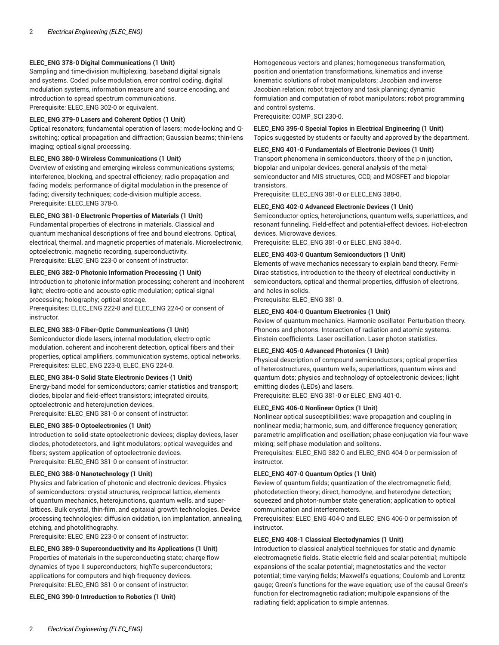## **ELEC\_ENG 378-0 Digital Communications (1 Unit)**

Sampling and time-division multiplexing, baseband digital signals and systems. Coded pulse modulation, error control coding, digital modulation systems, information measure and source encoding, and introduction to spread spectrum communications. Prerequisite: ELEC\_ENG 302-0 or equivalent.

## **ELEC\_ENG 379-0 Lasers and Coherent Optics (1 Unit)**

Optical resonators; fundamental operation of lasers; mode-locking and Qswitching; optical propagation and diffraction; Gaussian beams; thin-lens imaging; optical signal processing.

## **ELEC\_ENG 380-0 Wireless Communications (1 Unit)**

Overview of existing and emerging wireless communications systems; interference, blocking, and spectral efficiency; radio propagation and fading models; performance of digital modulation in the presence of fading; diversity techniques; code-division multiple access. Prerequisite: ELEC\_ENG 378-0.

## **ELEC\_ENG 381-0 Electronic Properties of Materials (1 Unit)**

Fundamental properties of electrons in materials. Classical and quantum mechanical descriptions of free and bound electrons. Optical, electrical, thermal, and magnetic properties of materials. Microelectronic, optoelectronic, magnetic recording, superconductivity. Prerequisite: ELEC\_ENG 223-0 or consent of instructor.

## **ELEC\_ENG 382-0 Photonic Information Processing (1 Unit)**

Introduction to photonic information processing; coherent and incoherent light; electro-optic and acousto-optic modulation; optical signal processing; holography; optical storage.

Prerequisites: ELEC\_ENG 222-0 and ELEC\_ENG 224-0 or consent of instructor.

## **ELEC\_ENG 383-0 Fiber-Optic Communications (1 Unit)**

Semiconductor diode lasers, internal modulation, electro-optic modulation, coherent and incoherent detection, optical fibers and their properties, optical amplifiers, communication systems, optical networks. Prerequisites: ELEC\_ENG 223-0, ELEC\_ENG 224-0.

## **ELEC\_ENG 384-0 Solid State Electronic Devices (1 Unit)**

Energy-band model for semiconductors; carrier statistics and transport; diodes, bipolar and field-effect transistors; integrated circuits, optoelectronic and heterojunction devices. Prerequisite: ELEC\_ENG 381-0 or consent of instructor.

## **ELEC\_ENG 385-0 Optoelectronics (1 Unit)**

Introduction to solid-state optoelectronic devices; display devices, laser diodes, photodetectors, and light modulators; optical waveguides and fibers; system application of optoelectronic devices. Prerequisite: ELEC\_ENG 381-0 or consent of instructor.

## **ELEC\_ENG 388-0 Nanotechnology (1 Unit)**

Physics and fabrication of photonic and electronic devices. Physics of semiconductors: crystal structures, reciprocal lattice, elements of quantum mechanics, heterojunctions, quantum wells, and superlattices. Bulk crystal, thin-film, and epitaxial growth technologies. Device processing technologies: diffusion oxidation, ion implantation, annealing, etching, and photolithography.

Prerequisite: ELEC\_ENG 223-0 or consent of instructor.

**ELEC\_ENG 389-0 Superconductivity and Its Applications (1 Unit)**  Properties of materials in the superconducting state; charge flow dynamics of type II superconductors; highTc superconductors; applications for computers and high-frequency devices. Prerequisite: ELEC\_ENG 381-0 or consent of instructor.

**ELEC\_ENG 390-0 Introduction to Robotics (1 Unit)** 

Homogeneous vectors and planes; homogeneous transformation, position and orientation transformations, kinematics and inverse kinematic solutions of robot manipulators; Jacobian and inverse Jacobian relation; robot trajectory and task planning; dynamic formulation and computation of robot manipulators; robot programming and control systems.

Prerequisite: COMP\_SCI 230-0.

## **ELEC\_ENG 395-0 Special Topics in Electrical Engineering (1 Unit)** Topics suggested by students or faculty and approved by the department.

## **ELEC\_ENG 401-0 Fundamentals of Electronic Devices (1 Unit)**

Transport phenomena in semiconductors, theory of the p-n junction, biopolar and unipolar devices, general analysis of the metalsemiconductor and MIS structures, CCD, and MOSFET and biopolar transistors.

Prerequisite: ELEC\_ENG 381-0 or ELEC\_ENG 388-0.

## **ELEC\_ENG 402-0 Advanced Electronic Devices (1 Unit)**

Semiconductor optics, heterojunctions, quantum wells, superlattices, and resonant funneling. Field-effect and potential-effect devices. Hot-electron devices. Microwave devices.

Prerequisite: ELEC\_ENG 381-0 or ELEC\_ENG 384-0.

## **ELEC\_ENG 403-0 Quantum Semiconductors (1 Unit)**

Elements of wave mechanics necessary to explain band theory. Fermi-Dirac statistics, introduction to the theory of electrical conductivity in semiconductors, optical and thermal properties, diffusion of electrons, and holes in solids.

Prerequisite: ELEC\_ENG 381-0.

## **ELEC\_ENG 404-0 Quantum Electronics (1 Unit)**

Review of quantum mechanics. Harmonic oscillator. Perturbation theory. Phonons and photons. Interaction of radiation and atomic systems. Einstein coefficients. Laser oscillation. Laser photon statistics.

## **ELEC\_ENG 405-0 Advanced Photonics (1 Unit)**

Physical description of compound semiconductors; optical properties of heterostructures, quantum wells, superlattices, quantum wires and quantum dots; physics and technology of optoelectronic devices; light emitting diodes (LEDs) and lasers.

Prerequisite: ELEC\_ENG 381-0 or ELEC\_ENG 401-0.

## **ELEC\_ENG 406-0 Nonlinear Optics (1 Unit)**

Nonlinear optical susceptibilities; wave propagation and coupling in nonlinear media; harmonic, sum, and difference frequency generation; parametric amplification and oscillation; phase-conjugation via four-wave mixing; self-phase modulation and solitons.

Prerequisites: ELEC\_ENG 382-0 and ELEC\_ENG 404-0 or permission of instructor.

## **ELEC\_ENG 407-0 Quantum Optics (1 Unit)**

Review of quantum fields; quantization of the electromagnetic field; photodetection theory; direct, homodyne, and heterodyne detection; squeezed and photon-number state generation; application to optical communication and interferometers.

Prerequisites: ELEC\_ENG 404-0 and ELEC\_ENG 406-0 or permission of instructor.

## **ELEC\_ENG 408-1 Classical Electodynamics (1 Unit)**

Introduction to classical analytical techniques for static and dynamic electromagnetic fields. Static electric field and scalar potential; multipole expansions of the scalar potential; magnetostatics and the vector potential; time-varying fields; Maxwell's equations; Coulomb and Lorentz gauge; Green's functions for the wave equation; use of the causal Green's function for electromagnetic radiation; multipole expansions of the radiating field; application to simple antennas.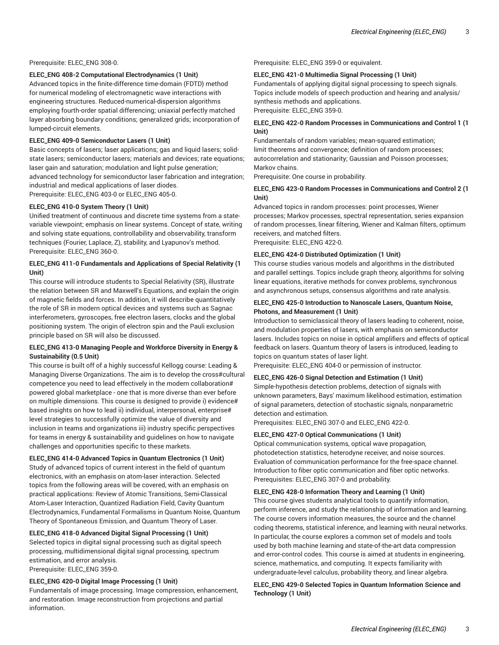Prerequisite: ELEC\_ENG 308-0.

#### **ELEC\_ENG 408-2 Computational Electrodynamics (1 Unit)**

Advanced topics in the finite-difference time-domain (FDTD) method for numerical modeling of electromagnetic wave interactions with engineering structures. Reduced-numerical-dispersion algorithms employing fourth-order spatial differencing; uniaxial perfectly matched layer absorbing boundary conditions; generalized grids; incorporation of lumped-circuit elements.

#### **ELEC\_ENG 409-0 Semiconductor Lasers (1 Unit)**

Basic concepts of lasers; laser applications; gas and liquid lasers; solidstate lasers; semiconductor lasers; materials and devices; rate equations; laser gain and saturation; modulation and light pulse generation; advanced technology for semiconductor laser fabrication and integration; industrial and medical applications of laser diodes. Prerequisite: ELEC\_ENG 403-0 or ELEC\_ENG 405-0.

## **ELEC\_ENG 410-0 System Theory (1 Unit)**

Unified treatment of continuous and discrete time systems from a statevariable viewpoint; emphasis on linear systems. Concept of state, writing and solving state equations, controllability and observability, transform techniques (Fourier, Laplace, Z), stability, and Lyapunov's method. Prerequisite: ELEC\_ENG 360-0.

## **ELEC\_ENG 411-0 Fundamentals and Applications of Special Relativity (1 Unit)**

This course will introduce students to Special Relativity (SR), illustrate the relation between SR and Maxwell's Equations, and explain the origin of magnetic fields and forces. In addition, it will describe quantitatively the role of SR in modern optical devices and systems such as Sagnac interferometers, gyroscopes, free electron lasers, clocks and the global positioning system. The origin of electron spin and the Pauli exclusion principle based on SR will also be discussed.

## **ELEC\_ENG 413-0 Managing People and Workforce Diversity in Energy & Sustainability (0.5 Unit)**

This course is built off of a highly successful Kellogg course: Leading & Managing Diverse Organizations. The aim is to develop the cross#cultural competence you need to lead effectively in the modern collaboration# powered global marketplace - one that is more diverse than ever before on multiple dimensions. This course is designed to provide i) evidence# based insights on how to lead ii) individual, interpersonal, enterprise# level strategies to successfully optimize the value of diversity and inclusion in teams and organizations iii) industry specific perspectives for teams in energy & sustainability and guidelines on how to navigate challenges and opportunities specific to these markets.

**ELEC\_ENG 414-0 Advanced Topics in Quantum Electronics (1 Unit)** Study of advanced topics of current interest in the field of quantum electronics, with an emphasis on atom-laser interaction. Selected topics from the following areas will be covered, with an emphasis on practical applications: Review of Atomic Transitions, Semi-Classical Atom-Laser Interaction, Quantized Radiation Field, Cavity Quantum Electrodynamics, Fundamental Formalisms in Quantum Noise, Quantum Theory of Spontaneous Emission, and Quantum Theory of Laser.

## **ELEC\_ENG 418-0 Advanced Digital Signal Processing (1 Unit)**

Selected topics in digital signal processing such as digital speech processing, multidimensional digital signal processing, spectrum estimation, and error analysis.

Prerequisite: ELEC\_ENG 359-0.

## **ELEC\_ENG 420-0 Digital Image Processing (1 Unit)**

Fundamentals of image processing. Image compression, enhancement, and restoration. Image reconstruction from projections and partial information.

Prerequisite: ELEC\_ENG 359-0 or equivalent.

## **ELEC\_ENG 421-0 Multimedia Signal Processing (1 Unit)**

Fundamentals of applying digital signal processing to speech signals. Topics include models of speech production and hearing and analysis/ synthesis methods and applications.

Prerequisite: ELEC\_ENG 359-0.

## **ELEC\_ENG 422-0 Random Processes in Communications and Control 1 (1 Unit)**

Fundamentals of random variables; mean-squared estimation; limit theorems and convergence; definition of random processes; autocorrelation and stationarity; Gaussian and Poisson processes; Markov chains.

Prerequisite: One course in probability.

## **ELEC\_ENG 423-0 Random Processes in Communications and Control 2 (1 Unit)**

Advanced topics in random processes: point processes, Wiener processes; Markov processes, spectral representation, series expansion of random processes, linear filtering, Wiener and Kalman filters, optimum receivers, and matched filters. Prerequisite: ELEC\_ENG 422-0.

**ELEC\_ENG 424-0 Distributed Optimization (1 Unit)** 

This course studies various models and algorithms in the distributed and parallel settings. Topics include graph theory, algorithms for solving linear equations, iterative methods for convex problems, synchronous and asynchronous setups, consensus algorithms and rate analysis.

## **ELEC\_ENG 425-0 Introduction to Nanoscale Lasers, Quantum Noise, Photons, and Measurement (1 Unit)**

Introduction to semiclassical theory of lasers leading to coherent, noise, and modulation properties of lasers, with emphasis on semiconductor lasers. Includes topics on noise in optical amplifiers and effects of optical feedback on lasers. Quantum theory of lasers is introduced, leading to topics on quantum states of laser light.

Prerequisite: ELEC\_ENG 404-0 or permission of instructor.

#### **ELEC\_ENG 426-0 Signal Detection and Estimation (1 Unit)**

Simple-hypothesis detection problems, detection of signals with unknown parameters, Bays' maximum likelihood estimation, estimation of signal parameters, detection of stochastic signals, nonparametric detection and estimation.

Prerequisites: ELEC\_ENG 307-0 and ELEC\_ENG 422-0.

## **ELEC\_ENG 427-0 Optical Communications (1 Unit)**

Optical communication systems, optical wave propagation, photodetection statistics, heterodyne receiver, and noise sources. Evaluation of communication performance for the free-space channel. Introduction to fiber optic communication and fiber optic networks. Prerequisites: ELEC\_ENG 307-0 and probability.

#### **ELEC\_ENG 428-0 Information Theory and Learning (1 Unit)**

This course gives students analytical tools to quantify information, perform inference, and study the relationship of information and learning. The course covers information measures, the source and the channel coding theorems, statistical inference, and learning with neural networks. In particular, the course explores a common set of models and tools used by both machine learning and state-of-the-art data compression and error-control codes. This course is aimed at students in engineering, science, mathematics, and computing. It expects familiarity with undergraduate-level calculus, probability theory, and linear algebra.

## **ELEC\_ENG 429-0 Selected Topics in Quantum Information Science and Technology (1 Unit)**